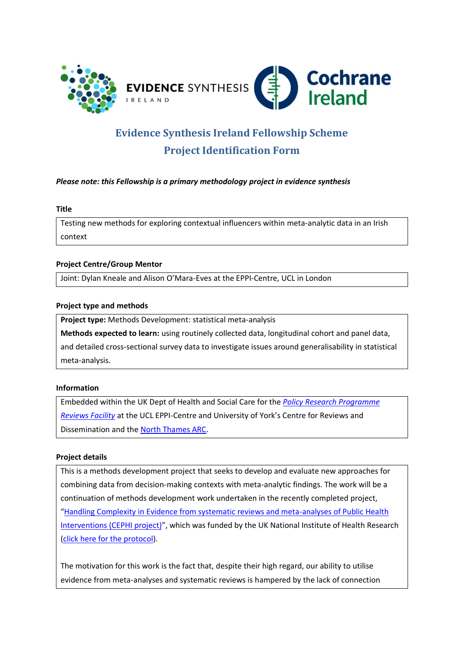

# **Evidence Synthesis Ireland Fellowship Scheme Project Identification Form**

## *Please note: this Fellowship is a primary methodology project in evidence synthesis*

#### **Title**

Testing new methods for exploring contextual influencers within meta-analytic data in an Irish context

## **Project Centre/Group Mentor**

Joint: Dylan Kneale and Alison O'Mara-Eves at the EPPI-Centre, UCL in London

### **Project type and methods**

**Project type:** Methods Development: statistical meta-analysis **Methods expected to learn:** using routinely collected data, longitudinal cohort and panel data, and detailed cross-sectional survey data to investigate issues around generalisability in statistical meta-analysis.

## **Information**

Embedded within the UK Dept of Health and Social Care for the *[Policy Research Programme](https://eppi.ioe.ac.uk/cms/Default.aspx?tabid=73)  [Reviews Facility](https://eppi.ioe.ac.uk/cms/Default.aspx?tabid=73)* at the UCL EPPI-Centre and University of York's Centre for Reviews and Dissemination and the [North Thames ARC.](https://www.arc-nt.nihr.ac.uk/)

### **Project details**

This is a methods development project that seeks to develop and evaluate new approaches for combining data from decision-making contexts with meta-analytic findings. The work will be a continuation of methods development work undertaken in the recently completed project, "[Handling Complexity in Evidence from systematic reviews and meta-analyses of Public Health](https://sites.google.com/view/cephi-project/home?authuser=0)  [Interventions \(CEPHI project\)](https://sites.google.com/view/cephi-project/home?authuser=0)", which was funded by the UK National Institute of Health Research (click [here for the protocol\)](https://njl-admin.nihr.ac.uk/document/download/2037863).

The motivation for this work is the fact that, despite their high regard, our ability to utilise evidence from meta-analyses and systematic reviews is hampered by the lack of connection